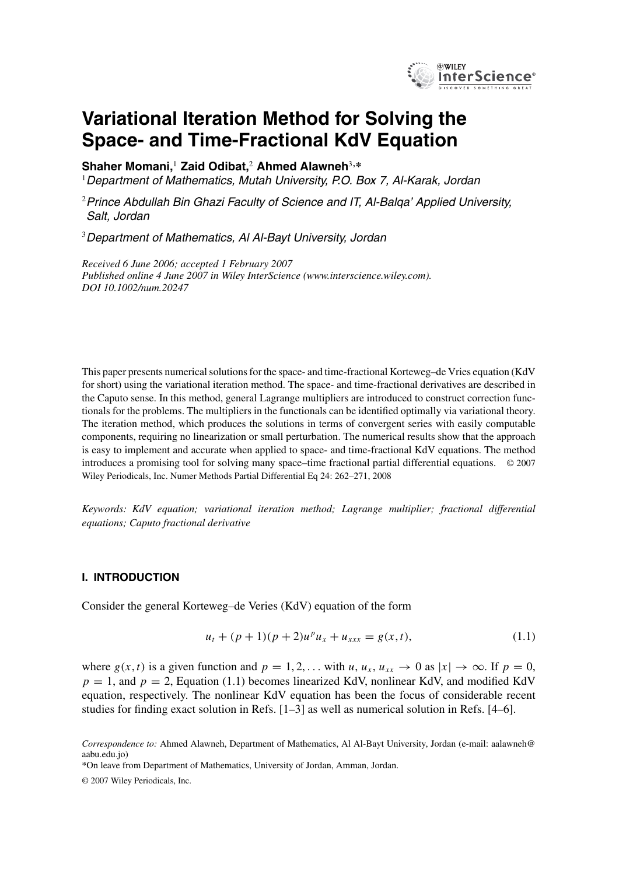

# **Variational Iteration Method for Solving the Space- and Time-Fractional KdV Equation**

**Shaher Momani,**<sup>1</sup> **Zaid Odibat,**<sup>2</sup> **Ahmed Alawneh**<sup>3</sup>**,\***

 $1$ Department of Mathematics, Mutah University, P.O. Box 7, Al-Karak, Jordan

<sup>2</sup> Prince Abdullah Bin Ghazi Faculty of Science and IT, Al-Balga' Applied University, Salt, Jordan

<sup>3</sup>Department of Mathematics, Al Al-Bayt University, Jordan

*Received 6 June 2006; accepted 1 February 2007 Published online 4 June 2007 in Wiley InterScience (www.interscience.wiley.com). DOI 10.1002/num.20247*

This paper presents numerical solutions for the space- and time-fractional Korteweg–de Vries equation (KdV for short) using the variational iteration method. The space- and time-fractional derivatives are described in the Caputo sense. In this method, general Lagrange multipliers are introduced to construct correction functionals for the problems. The multipliers in the functionals can be identified optimally via variational theory. The iteration method, which produces the solutions in terms of convergent series with easily computable components, requiring no linearization or small perturbation. The numerical results show that the approach is easy to implement and accurate when applied to space- and time-fractional KdV equations. The method introduces a promising tool for solving many space–time fractional partial differential equations. © 2007 Wiley Periodicals, Inc. Numer Methods Partial Differential Eq 24: 262–271, 2008

*Keywords: KdV equation; variational iteration method; Lagrange multiplier; fractional differential equations; Caputo fractional derivative*

#### **I. INTRODUCTION**

Consider the general Korteweg–de Veries (KdV) equation of the form

$$
u_t + (p+1)(p+2)u^p u_x + u_{xxx} = g(x,t),
$$
\n(1.1)

where  $g(x, t)$  is a given function and  $p = 1, 2, \dots$  with  $u, u_x, u_{xx} \to 0$  as  $|x| \to \infty$ . If  $p = 0$ ,  $p = 1$ , and  $p = 2$ , Equation (1.1) becomes linearized KdV, nonlinear KdV, and modified KdV equation, respectively. The nonlinear KdV equation has been the focus of considerable recent studies for finding exact solution in Refs. [1–3] as well as numerical solution in Refs. [4–6].

\*On leave from Department of Mathematics, University of Jordan, Amman, Jordan.

© 2007 Wiley Periodicals, Inc.

*Correspondence to:* Ahmed Alawneh, Department of Mathematics, Al Al-Bayt University, Jordan (e-mail: aalawneh@ aabu.edu.jo)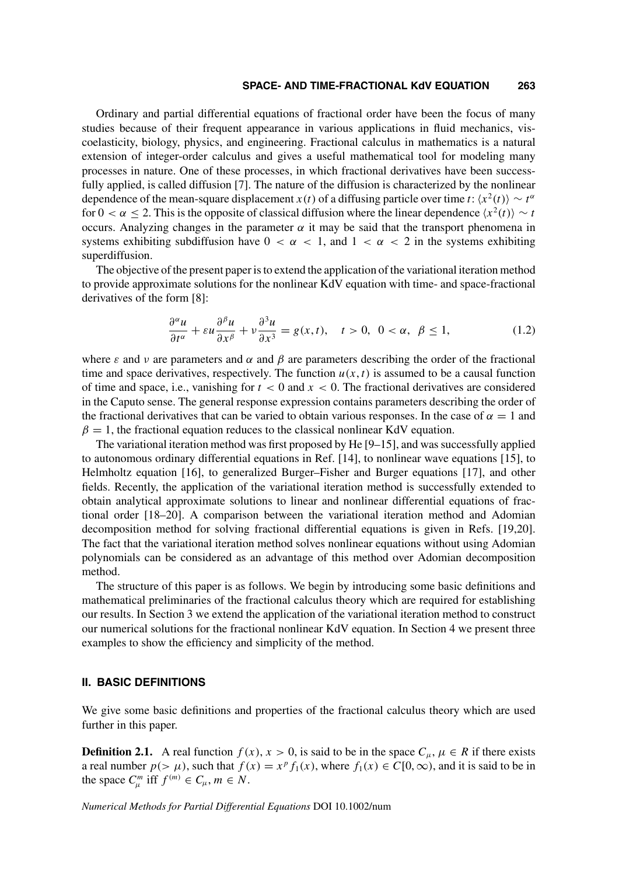#### **SPACE- AND TIME-FRACTIONAL KdV EQUATION 263**

Ordinary and partial differential equations of fractional order have been the focus of many studies because of their frequent appearance in various applications in fluid mechanics, viscoelasticity, biology, physics, and engineering. Fractional calculus in mathematics is a natural extension of integer-order calculus and gives a useful mathematical tool for modeling many processes in nature. One of these processes, in which fractional derivatives have been successfully applied, is called diffusion [7]. The nature of the diffusion is characterized by the nonlinear dependence of the mean-square displacement  $x(t)$  of a diffusing particle over time t:  $\langle x^2(t) \rangle \sim t^{\alpha}$ for  $0 < \alpha \leq 2$ . This is the opposite of classical diffusion where the linear dependence  $\langle x^2(t) \rangle \sim t$ occurs. Analyzing changes in the parameter  $\alpha$  it may be said that the transport phenomena in systems exhibiting subdiffusion have  $0 < \alpha < 1$ , and  $1 < \alpha < 2$  in the systems exhibiting superdiffusion.

The objective of the present paper is to extend the application of the variational iteration method to provide approximate solutions for the nonlinear KdV equation with time- and space-fractional derivatives of the form [8]:

$$
\frac{\partial^{\alpha} u}{\partial t^{\alpha}} + \varepsilon u \frac{\partial^{\beta} u}{\partial x^{\beta}} + v \frac{\partial^3 u}{\partial x^3} = g(x, t), \quad t > 0, \quad 0 < \alpha, \quad \beta \le 1,
$$
\n(1.2)

where  $\varepsilon$  and  $\nu$  are parameters and  $\alpha$  and  $\beta$  are parameters describing the order of the fractional time and space derivatives, respectively. The function  $u(x, t)$  is assumed to be a causal function of time and space, i.e., vanishing for  $t < 0$  and  $x < 0$ . The fractional derivatives are considered in the Caputo sense. The general response expression contains parameters describing the order of the fractional derivatives that can be varied to obtain various responses. In the case of  $\alpha = 1$  and  $\beta = 1$ , the fractional equation reduces to the classical nonlinear KdV equation.

The variational iteration method was first proposed by He [9–15], and was successfully applied to autonomous ordinary differential equations in Ref. [14], to nonlinear wave equations [15], to Helmholtz equation [16], to generalized Burger–Fisher and Burger equations [17], and other fields. Recently, the application of the variational iteration method is successfully extended to obtain analytical approximate solutions to linear and nonlinear differential equations of fractional order [18–20]. A comparison between the variational iteration method and Adomian decomposition method for solving fractional differential equations is given in Refs. [19,20]. The fact that the variational iteration method solves nonlinear equations without using Adomian polynomials can be considered as an advantage of this method over Adomian decomposition method.

The structure of this paper is as follows. We begin by introducing some basic definitions and mathematical preliminaries of the fractional calculus theory which are required for establishing our results. In Section 3 we extend the application of the variational iteration method to construct our numerical solutions for the fractional nonlinear KdV equation. In Section 4 we present three examples to show the efficiency and simplicity of the method.

## **II. BASIC DEFINITIONS**

We give some basic definitions and properties of the fractional calculus theory which are used further in this paper.

**Definition 2.1.** A real function  $f(x)$ ,  $x > 0$ , is said to be in the space  $C_{\mu}$ ,  $\mu \in R$  if there exists a real number  $p(>\mu)$ , such that  $f(x) = x^p f_1(x)$ , where  $f_1(x) \in C[0,\infty)$ , and it is said to be in the space  $C_{\mu}^{m}$  iff  $f^{(m)} \in C_{\mu}$ ,  $m \in N$ .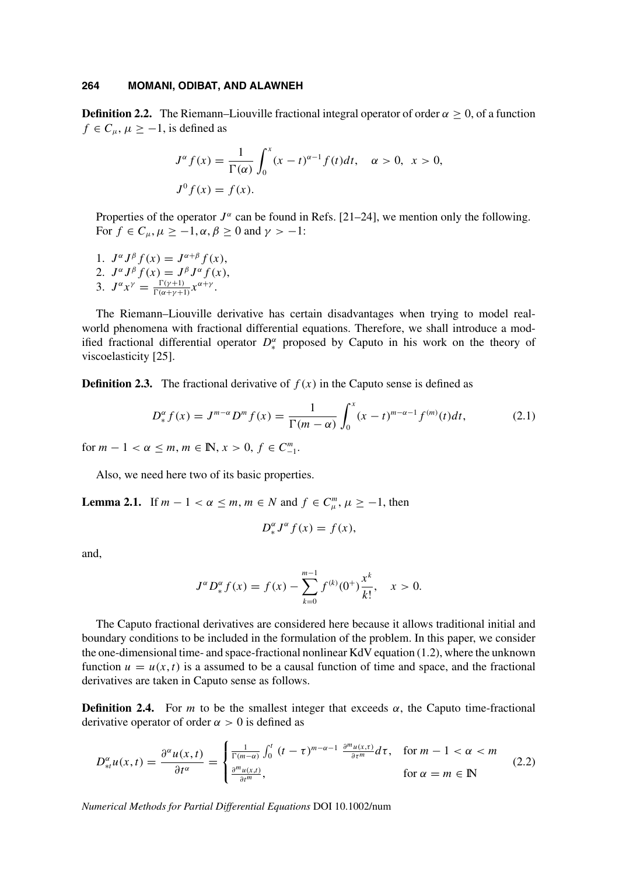**Definition 2.2.** The Riemann–Liouville fractional integral operator of order  $\alpha \geq 0$ , of a function  $f \in C_u$ ,  $\mu \ge -1$ , is defined as

$$
J^{\alpha} f(x) = \frac{1}{\Gamma(\alpha)} \int_0^x (x - t)^{\alpha - 1} f(t) dt, \quad \alpha > 0, \ x > 0,
$$
  

$$
J^0 f(x) = f(x).
$$

Properties of the operator  $J^{\alpha}$  can be found in Refs. [21–24], we mention only the following. For  $f \in C_{\mu}$ ,  $\mu \ge -1$ ,  $\alpha$ ,  $\beta \ge 0$  and  $\gamma > -1$ :

1.  $J^{\alpha}J^{\beta}f(x) = J^{\alpha+\beta}f(x),$ 2.  $J^{\alpha}J^{\beta}f(x) = J^{\beta}J^{\alpha}f(x),$ 3.  $J^{\alpha} x^{\gamma} = \frac{\Gamma(\gamma+1)}{\Gamma(\alpha+\gamma+1)}$  $\frac{\Gamma(\gamma+1)}{\Gamma(\alpha+\gamma+1)} x^{\alpha+\gamma}$ .

The Riemann–Liouville derivative has certain disadvantages when trying to model realworld phenomena with fractional differential equations. Therefore, we shall introduce a modified fractional differential operator  $D_*^{\alpha}$  proposed by Caputo in his work on the theory of viscoelasticity [25].

**Definition 2.3.** The fractional derivative of  $f(x)$  in the Caputo sense is defined as

$$
D_{*}^{\alpha} f(x) = J^{m-\alpha} D^{m} f(x) = \frac{1}{\Gamma(m-\alpha)} \int_{0}^{x} (x-t)^{m-\alpha-1} f^{(m)}(t) dt,
$$
 (2.1)

for  $m - 1 < \alpha \le m$ ,  $m \in \mathbb{N}$ ,  $x > 0$ ,  $f \in C_{-1}^{m}$ .

Also, we need here two of its basic properties.

**Lemma 2.1.** If  $m - 1 < \alpha \le m$ ,  $m \in N$  and  $f \in C_{\mu}^{m}$ ,  $\mu \ge -1$ , then

$$
D_{*}^{\alpha}J^{\alpha}f(x) = f(x),
$$

and,

$$
J^{\alpha}D^{\alpha}_{*}f(x) = f(x) - \sum_{k=0}^{m-1} f^{(k)}(0^{+})\frac{x^{k}}{k!}, \quad x > 0.
$$

The Caputo fractional derivatives are considered here because it allows traditional initial and boundary conditions to be included in the formulation of the problem. In this paper, we consider the one-dimensional time- and space-fractional nonlinear KdV equation (1.2), where the unknown function  $u = u(x, t)$  is a assumed to be a causal function of time and space, and the fractional derivatives are taken in Caputo sense as follows.

**Definition 2.4.** For m to be the smallest integer that exceeds  $\alpha$ , the Caputo time-fractional derivative operator of order  $\alpha > 0$  is defined as

$$
D_{*l}^{\alpha}u(x,t) = \frac{\partial^{\alpha}u(x,t)}{\partial t^{\alpha}} = \begin{cases} \frac{1}{\Gamma(m-\alpha)} \int_0^t (t-\tau)^{m-\alpha-1} \frac{\partial^m u(x,\tau)}{\partial \tau^m} d\tau, & \text{for } m-1 < \alpha < m\\ \frac{\partial^m u(x,t)}{\partial t^m}, & \text{for } \alpha = m \in \mathbb{N} \end{cases}
$$
(2.2)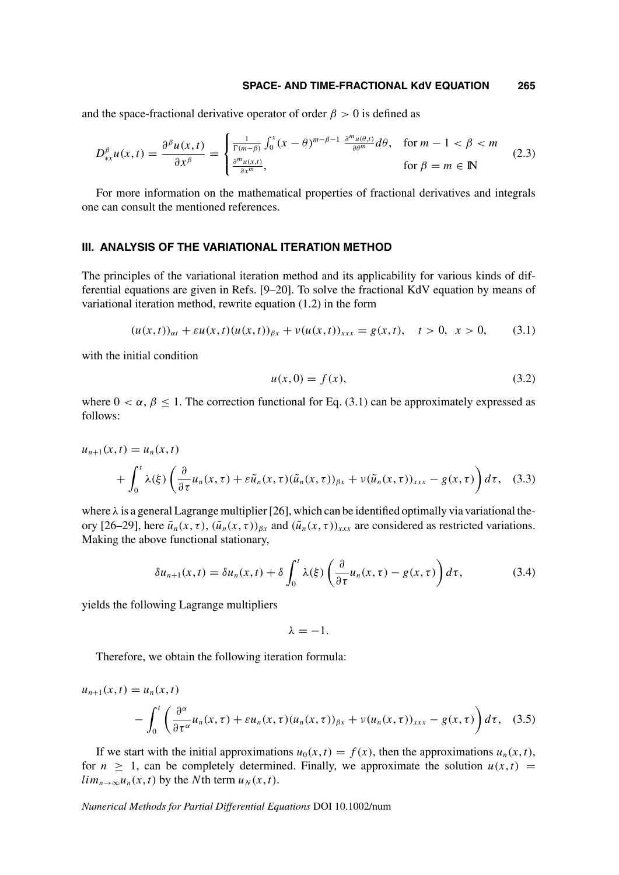#### **SPACE- AND TIME-FRACTIONAL KdV EQUATION 265**

and the space-fractional derivative operator of order  $\beta > 0$  is defined as

$$
D_{\ast x}^{\beta}u(x,t) = \frac{\partial^{\beta}u(x,t)}{\partial x^{\beta}} = \begin{cases} \frac{1}{\Gamma(m-\beta)} \int_0^x (x-\theta)^{m-\beta-1} \frac{\partial^m u(\theta,t)}{\partial \theta^m} d\theta, & \text{for } m-1 < \beta < m\\ \frac{\partial^m u(x,t)}{\partial x^m}, & \text{for } \beta = m \in \mathbb{N} \end{cases}
$$
(2.3)

For more information on the mathematical properties of fractional derivatives and integrals one can consult the mentioned references.

# **III. ANALYSIS OF THE VARIATIONAL ITERATION METHOD**

The principles of the variational iteration method and its applicability for various kinds of differential equations are given in Refs. [9–20]. To solve the fractional KdV equation by means of variational iteration method, rewrite equation (1.2) in the form

$$
(u(x,t))_{\alpha t} + \varepsilon u(x,t)(u(x,t))_{\beta x} + v(u(x,t))_{xxx} = g(x,t), \quad t > 0, \quad x > 0,
$$
 (3.1)

with the initial condition

$$
u(x,0) = f(x),
$$
 (3.2)

where  $0 < \alpha$ ,  $\beta \le 1$ . The correction functional for Eq. (3.1) can be approximately expressed as follows:

$$
u_{n+1}(x,t) = u_n(x,t)
$$
  
+  $\int_0^t \lambda(\xi) \left( \frac{\partial}{\partial \tau} u_n(x,\tau) + \varepsilon \tilde{u}_n(x,\tau) (\tilde{u}_n(x,\tau))_{\beta x} + \nu (\tilde{u}_n(x,\tau))_{xxx} - g(x,\tau) \right) d\tau$ , (3.3)

where  $\lambda$  is a general Lagrange multiplier [26], which can be identified optimally via variational theory [26–29], here  $\tilde{u}_n(x, \tau)$ ,  $(\tilde{u}_n(x, \tau))_{\beta x}$  and  $(\tilde{u}_n(x, \tau))_{xxx}$  are considered as restricted variations. Making the above functional stationary,

$$
\delta u_{n+1}(x,t) = \delta u_n(x,t) + \delta \int_0^t \lambda(\xi) \left( \frac{\partial}{\partial \tau} u_n(x,\tau) - g(x,\tau) \right) d\tau, \tag{3.4}
$$

yields the following Lagrange multipliers

 $u_{n+1}$ 

$$
\lambda = -1.\\
$$

Therefore, we obtain the following iteration formula:

$$
(x,t) = u_n(x,t)
$$
  
 
$$
- \int_0^t \left( \frac{\partial^\alpha}{\partial \tau^\alpha} u_n(x,\tau) + \varepsilon u_n(x,\tau) (u_n(x,\tau))_{\beta x} + v (u_n(x,\tau))_{xxx} - g(x,\tau) \right) d\tau, \quad (3.5)
$$

If we start with the initial approximations  $u_0(x, t) = f(x)$ , then the approximations  $u_n(x, t)$ , for  $n \geq 1$ , can be completely determined. Finally, we approximate the solution  $u(x, t)$  =  $\lim_{n\to\infty}u_n(x,t)$  by the Nth term  $u_N(x,t)$ .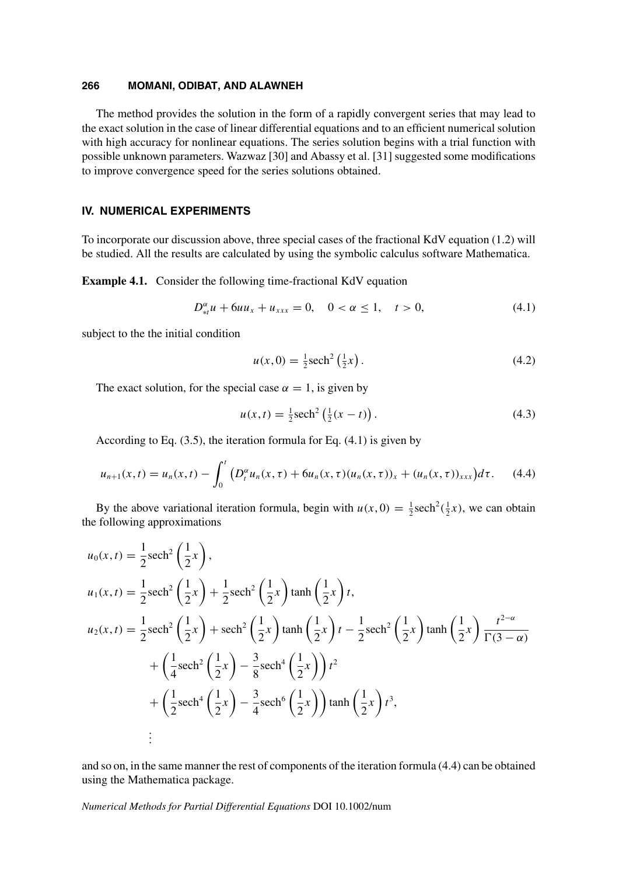The method provides the solution in the form of a rapidly convergent series that may lead to the exact solution in the case of linear differential equations and to an efficient numerical solution with high accuracy for nonlinear equations. The series solution begins with a trial function with possible unknown parameters. Wazwaz [30] and Abassy et al. [31] suggested some modifications to improve convergence speed for the series solutions obtained.

# **IV. NUMERICAL EXPERIMENTS**

To incorporate our discussion above, three special cases of the fractional KdV equation (1.2) will be studied. All the results are calculated by using the symbolic calculus software Mathematica.

**Example 4.1.** Consider the following time-fractional KdV equation

$$
D_{*t}^{\alpha}u + 6uu_x + u_{xxx} = 0, \quad 0 < \alpha \le 1, \quad t > 0,\tag{4.1}
$$

subject to the the initial condition

$$
u(x,0) = \frac{1}{2}\text{sech}^2\left(\frac{1}{2}x\right). \tag{4.2}
$$

The exact solution, for the special case  $\alpha = 1$ , is given by

$$
u(x,t) = \frac{1}{2} \text{sech}^2 \left( \frac{1}{2} (x - t) \right). \tag{4.3}
$$

According to Eq. (3.5), the iteration formula for Eq. (4.1) is given by

$$
u_{n+1}(x,t) = u_n(x,t) - \int_0^t \left( D_t^{\alpha} u_n(x,\tau) + 6u_n(x,\tau) (u_n(x,\tau))_x + (u_n(x,\tau))_{xxx} \right) d\tau.
$$
 (4.4)

By the above variational iteration formula, begin with  $u(x, 0) = \frac{1}{2} \text{sech}^2(\frac{1}{2}x)$ , we can obtain the following approximations

$$
u_0(x,t) = \frac{1}{2} \operatorname{sech}^2\left(\frac{1}{2}x\right),
$$
  
\n
$$
u_1(x,t) = \frac{1}{2} \operatorname{sech}^2\left(\frac{1}{2}x\right) + \frac{1}{2} \operatorname{sech}^2\left(\frac{1}{2}x\right) \tanh\left(\frac{1}{2}x\right)t,
$$
  
\n
$$
u_2(x,t) = \frac{1}{2} \operatorname{sech}^2\left(\frac{1}{2}x\right) + \operatorname{sech}^2\left(\frac{1}{2}x\right) \tanh\left(\frac{1}{2}x\right)t - \frac{1}{2} \operatorname{sech}^2\left(\frac{1}{2}x\right) \tanh\left(\frac{1}{2}x\right) \frac{t^{2-\alpha}}{\Gamma(3-\alpha)}
$$
  
\n
$$
+ \left(\frac{1}{4} \operatorname{sech}^2\left(\frac{1}{2}x\right) - \frac{3}{8} \operatorname{sech}^4\left(\frac{1}{2}x\right)\right)t^2
$$
  
\n
$$
+ \left(\frac{1}{2} \operatorname{sech}^4\left(\frac{1}{2}x\right) - \frac{3}{4} \operatorname{sech}^6\left(\frac{1}{2}x\right)\right) \tanh\left(\frac{1}{2}x\right)t^3,
$$
  
\n
$$
\vdots
$$

and so on, in the same manner the rest of components of the iteration formula (4.4) can be obtained using the Mathematica package.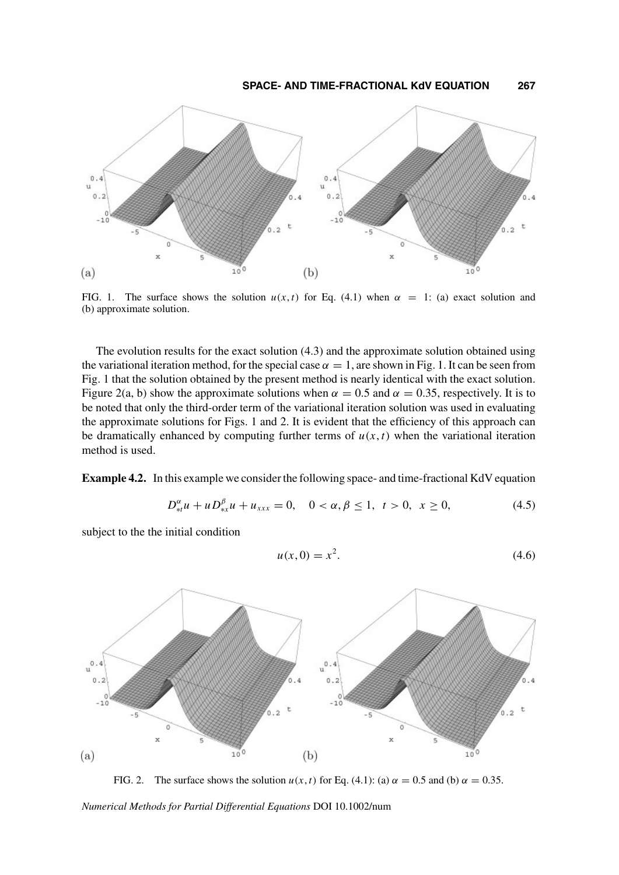

FIG. 1. The surface shows the solution  $u(x, t)$  for Eq. (4.1) when  $\alpha = 1$ : (a) exact solution and (b) approximate solution.

The evolution results for the exact solution (4.3) and the approximate solution obtained using the variational iteration method, for the special case  $\alpha = 1$ , are shown in Fig. 1. It can be seen from Fig. 1 that the solution obtained by the present method is nearly identical with the exact solution. Figure 2(a, b) show the approximate solutions when  $\alpha = 0.5$  and  $\alpha = 0.35$ , respectively. It is to be noted that only the third-order term of the variational iteration solution was used in evaluating the approximate solutions for Figs. 1 and 2. It is evident that the efficiency of this approach can be dramatically enhanced by computing further terms of  $u(x, t)$  when the variational iteration method is used.

**Example 4.2.** In this example we consider the following space- and time-fractional KdV equation

$$
D_{*t}^{\alpha}u + uD_{*x}^{\beta}u + u_{xxx} = 0, \quad 0 < \alpha, \beta \le 1, \quad t > 0, \quad x \ge 0,\tag{4.5}
$$

subject to the the initial condition

$$
u(x,0) = x^2.
$$
 (4.6)



FIG. 2. The surface shows the solution  $u(x, t)$  for Eq. (4.1): (a)  $\alpha = 0.5$  and (b)  $\alpha = 0.35$ .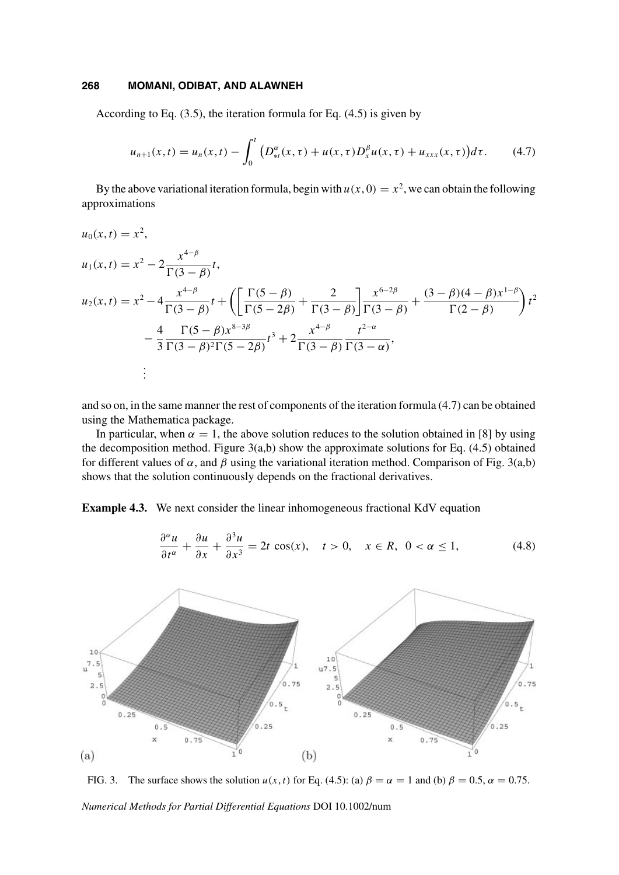According to Eq. (3.5), the iteration formula for Eq. (4.5) is given by

$$
u_{n+1}(x,t) = u_n(x,t) - \int_0^t \left( D_{st}^{\alpha}(x,\tau) + u(x,\tau)D_x^{\beta}u(x,\tau) + u_{xxx}(x,\tau) \right) d\tau. \tag{4.7}
$$

By the above variational iteration formula, begin with  $u(x, 0) = x^2$ , we can obtain the following approximations

$$
u_0(x,t) = x^2,
$$
  
\n
$$
u_1(x,t) = x^2 - 2\frac{x^{4-\beta}}{\Gamma(3-\beta)}t,
$$
  
\n
$$
u_2(x,t) = x^2 - 4\frac{x^{4-\beta}}{\Gamma(3-\beta)}t + \left(\left[\frac{\Gamma(5-\beta)}{\Gamma(5-2\beta)} + \frac{2}{\Gamma(3-\beta)}\right] \frac{x^{6-2\beta}}{\Gamma(3-\beta)} + \frac{(3-\beta)(4-\beta)x^{1-\beta}}{\Gamma(2-\beta)}\right)t^2
$$
  
\n
$$
-\frac{4}{3}\frac{\Gamma(5-\beta)x^{8-3\beta}}{\Gamma(3-\beta)^2\Gamma(5-2\beta)}t^3 + 2\frac{x^{4-\beta}}{\Gamma(3-\beta)}\frac{t^{2-\alpha}}{\Gamma(3-\alpha)},
$$
  
\n
$$
\vdots
$$

and so on, in the same manner the rest of components of the iteration formula (4.7) can be obtained using the Mathematica package.

In particular, when  $\alpha = 1$ , the above solution reduces to the solution obtained in [8] by using the decomposition method. Figure  $3(a,b)$  show the approximate solutions for Eq. (4.5) obtained for different values of  $\alpha$ , and  $\beta$  using the variational iteration method. Comparison of Fig. 3(a,b) shows that the solution continuously depends on the fractional derivatives.

**Example 4.3.** We next consider the linear inhomogeneous fractional KdV equation

$$
\frac{\partial^{\alpha} u}{\partial t^{\alpha}} + \frac{\partial u}{\partial x} + \frac{\partial^3 u}{\partial x^3} = 2t \cos(x), \quad t > 0, \quad x \in R, \ 0 < \alpha \le 1,
$$
 (4.8)



FIG. 3. The surface shows the solution  $u(x, t)$  for Eq. (4.5): (a)  $\beta = \alpha = 1$  and (b)  $\beta = 0.5$ ,  $\alpha = 0.75$ .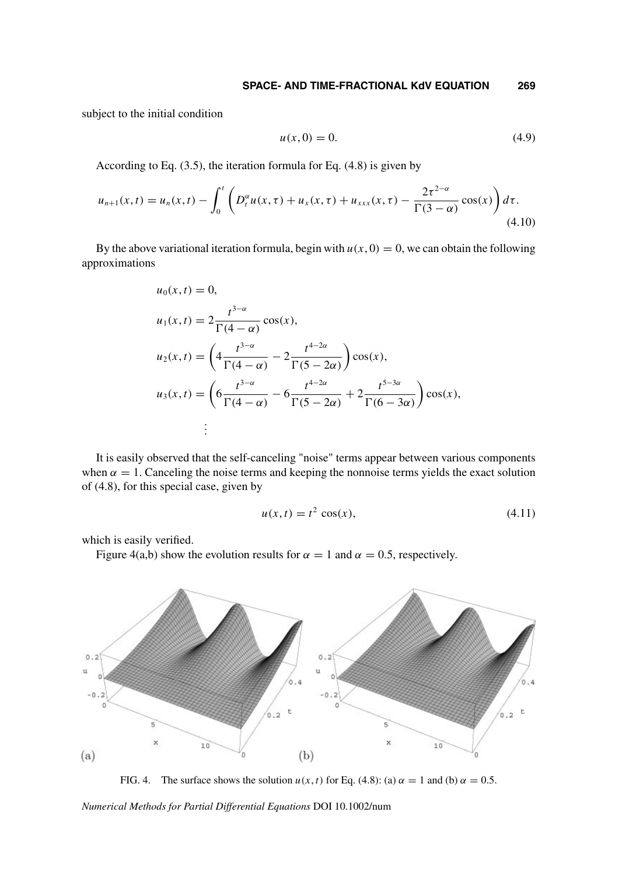subject to the initial condition

$$
u(x,0) = 0.\t(4.9)
$$

According to Eq. (3.5), the iteration formula for Eq. (4.8) is given by

$$
u_{n+1}(x,t) = u_n(x,t) - \int_0^t \left( D_t^{\alpha} u(x,\tau) + u_x(x,\tau) + u_{xxx}(x,\tau) - \frac{2\tau^{2-\alpha}}{\Gamma(3-\alpha)} \cos(x) \right) d\tau.
$$
\n(4.10)

By the above variational iteration formula, begin with  $u(x, 0) = 0$ , we can obtain the following approximations

$$
u_0(x,t) = 0,
$$
  
\n
$$
u_1(x,t) = 2 \frac{t^{3-\alpha}}{\Gamma(4-\alpha)} \cos(x),
$$
  
\n
$$
u_2(x,t) = \left(4 \frac{t^{3-\alpha}}{\Gamma(4-\alpha)} - 2 \frac{t^{4-2\alpha}}{\Gamma(5-2\alpha)}\right) \cos(x),
$$
  
\n
$$
u_3(x,t) = \left(6 \frac{t^{3-\alpha}}{\Gamma(4-\alpha)} - 6 \frac{t^{4-2\alpha}}{\Gamma(5-2\alpha)} + 2 \frac{t^{5-3\alpha}}{\Gamma(6-3\alpha)}\right) \cos(x),
$$
  
\n
$$
\vdots
$$

It is easily observed that the self-canceling "noise" terms appear between various components when  $\alpha = 1$ . Canceling the noise terms and keeping the nonnoise terms yields the exact solution of (4.8), for this special case, given by

$$
u(x,t) = t^2 \cos(x),
$$
 (4.11)

which is easily verified.

Figure 4(a,b) show the evolution results for  $\alpha = 1$  and  $\alpha = 0.5$ , respectively.



FIG. 4. The surface shows the solution  $u(x, t)$  for Eq. (4.8): (a)  $\alpha = 1$  and (b)  $\alpha = 0.5$ .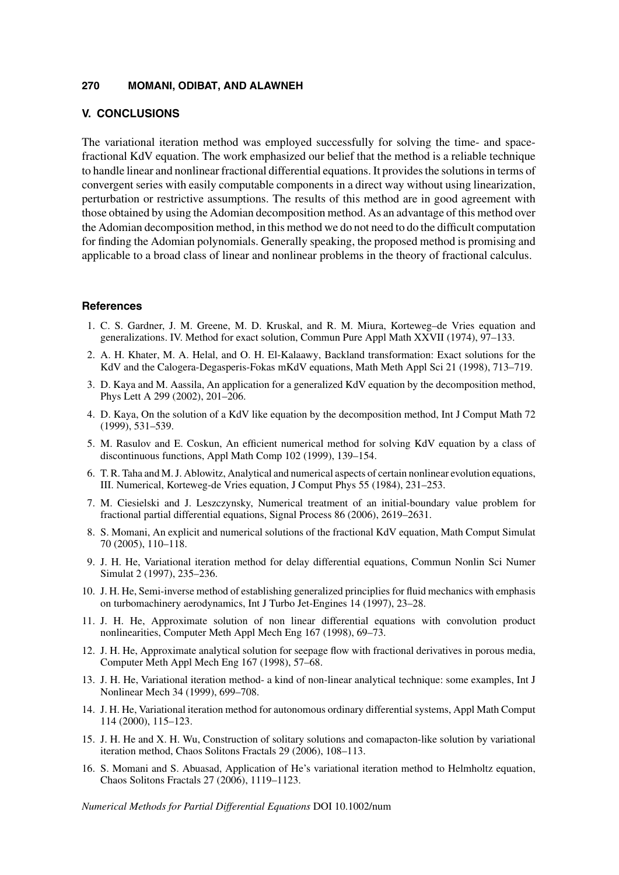## **V. CONCLUSIONS**

The variational iteration method was employed successfully for solving the time- and spacefractional KdV equation. The work emphasized our belief that the method is a reliable technique to handle linear and nonlinear fractional differential equations. It provides the solutions in terms of convergent series with easily computable components in a direct way without using linearization, perturbation or restrictive assumptions. The results of this method are in good agreement with those obtained by using the Adomian decomposition method. As an advantage of this method over the Adomian decomposition method, in this method we do not need to do the difficult computation for finding the Adomian polynomials. Generally speaking, the proposed method is promising and applicable to a broad class of linear and nonlinear problems in the theory of fractional calculus.

#### **References**

- 1. C. S. Gardner, J. M. Greene, M. D. Kruskal, and R. M. Miura, Korteweg–de Vries equation and generalizations. IV. Method for exact solution, Commun Pure Appl Math XXVII (1974), 97–133.
- 2. A. H. Khater, M. A. Helal, and O. H. El-Kalaawy, Backland transformation: Exact solutions for the KdV and the Calogera-Degasperis-Fokas mKdV equations, Math Meth Appl Sci 21 (1998), 713–719.
- 3. D. Kaya and M. Aassila, An application for a generalized KdV equation by the decomposition method, Phys Lett A 299 (2002), 201–206.
- 4. D. Kaya, On the solution of a KdV like equation by the decomposition method, Int J Comput Math 72 (1999), 531–539.
- 5. M. Rasulov and E. Coskun, An efficient numerical method for solving KdV equation by a class of discontinuous functions, Appl Math Comp 102 (1999), 139–154.
- 6. T. R. Taha and M. J. Ablowitz, Analytical and numerical aspects of certain nonlinear evolution equations, III. Numerical, Korteweg-de Vries equation, J Comput Phys 55 (1984), 231–253.
- 7. M. Ciesielski and J. Leszczynsky, Numerical treatment of an initial-boundary value problem for fractional partial differential equations, Signal Process 86 (2006), 2619–2631.
- 8. S. Momani, An explicit and numerical solutions of the fractional KdV equation, Math Comput Simulat 70 (2005), 110–118.
- 9. J. H. He, Variational iteration method for delay differential equations, Commun Nonlin Sci Numer Simulat 2 (1997), 235–236.
- 10. J. H. He, Semi-inverse method of establishing generalized principlies for fluid mechanics with emphasis on turbomachinery aerodynamics, Int J Turbo Jet-Engines 14 (1997), 23–28.
- 11. J. H. He, Approximate solution of non linear differential equations with convolution product nonlinearities, Computer Meth Appl Mech Eng 167 (1998), 69–73.
- 12. J. H. He, Approximate analytical solution for seepage flow with fractional derivatives in porous media, Computer Meth Appl Mech Eng 167 (1998), 57–68.
- 13. J. H. He, Variational iteration method- a kind of non-linear analytical technique: some examples, Int J Nonlinear Mech 34 (1999), 699–708.
- 14. J. H. He, Variational iteration method for autonomous ordinary differential systems, Appl Math Comput 114 (2000), 115–123.
- 15. J. H. He and X. H. Wu, Construction of solitary solutions and comapacton-like solution by variational iteration method, Chaos Solitons Fractals 29 (2006), 108–113.
- 16. S. Momani and S. Abuasad, Application of He's variational iteration method to Helmholtz equation, Chaos Solitons Fractals 27 (2006), 1119–1123.